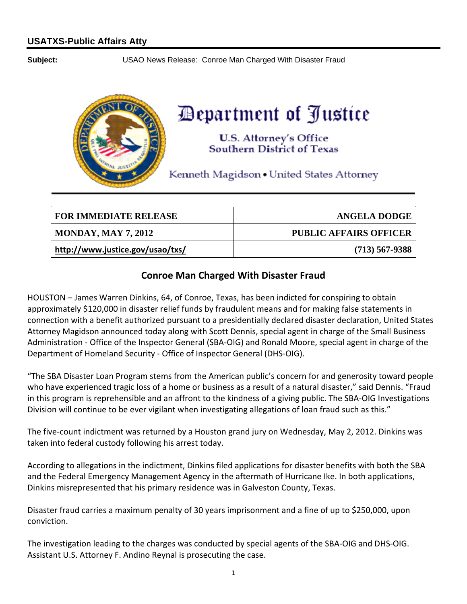**Subject:** USAO News Release: Conroe Man Charged With Disaster Fraud



## Department of Justice

**U.S. Attorney's Office Southern District of Texas** 

Kenneth Magidson . United States Attorney

| <b>FOR IMMEDIATE RELEASE</b>     | <b>ANGELA DODGE</b>           |
|----------------------------------|-------------------------------|
| <b>MONDAY, MAY 7, 2012</b>       | <b>PUBLIC AFFAIRS OFFICER</b> |
| http://www.justice.gov/usao/txs/ | $(713)$ 567-9388              |

## **Conroe Man Charged With Disaster Fraud**

 HOUSTON – James Warren Dinkins, 64, of Conroe, Texas, has been indicted for conspiring to obtain approximately \$120,000 in disaster relief funds by fraudulent means and for making false statements in connection with a benefit authorized pursuant to a presidentially declared disaster declaration, United States Attorney Magidson announced today along with Scott Dennis, special agent in charge of the Small Business Administration ‐ Office of the Inspector General (SBA‐OIG) and Ronald Moore, special agent in charge of the Department of Homeland Security ‐ Office of Inspector General (DHS‐OIG).

 "The SBA Disaster Loan Program stems from the American public's concern for and generosity toward people who have experienced tragic loss of a home or business as a result of a natural disaster," said Dennis. "Fraud in this program is reprehensible and an affront to the kindness of a giving public. The SBA‐OIG Investigations Division will continue to be ever vigilant when investigating allegations of loan fraud such as this."

 The five‐count indictment was returned by a Houston grand jury on Wednesday, May 2, 2012. Dinkins was taken into federal custody following his arrest today.

 According to allegations in the indictment, Dinkins filed applications for disaster benefits with both the SBA and the Federal Emergency Management Agency in the aftermath of Hurricane Ike. In both applications, Dinkins misrepresented that his primary residence was in Galveston County, Texas.

 Disaster fraud carries a maximum penalty of 30 years imprisonment and a fine of up to \$250,000, upon conviction.

 The investigation leading to the charges was conducted by special agents of the SBA‐OIG and DHS‐OIG. Assistant U.S. Attorney F. Andino Reynal is prosecuting the case.